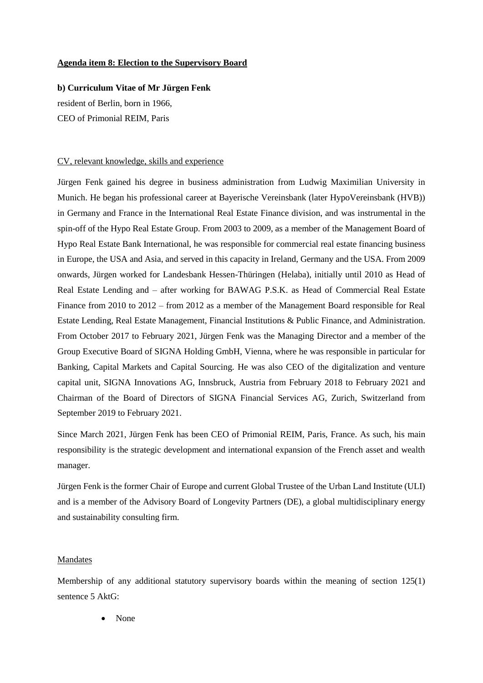## **Agenda item 8: Election to the Supervisory Board**

**b) Curriculum Vitae of Mr Jürgen Fenk** resident of Berlin, born in 1966, CEO of Primonial REIM, Paris

## CV, relevant knowledge, skills and experience

Jürgen Fenk gained his degree in business administration from Ludwig Maximilian University in Munich. He began his professional career at Bayerische Vereinsbank (later HypoVereinsbank (HVB)) in Germany and France in the International Real Estate Finance division, and was instrumental in the spin-off of the Hypo Real Estate Group. From 2003 to 2009, as a member of the Management Board of Hypo Real Estate Bank International, he was responsible for commercial real estate financing business in Europe, the USA and Asia, and served in this capacity in Ireland, Germany and the USA. From 2009 onwards, Jürgen worked for Landesbank Hessen-Thüringen (Helaba), initially until 2010 as Head of Real Estate Lending and – after working for BAWAG P.S.K. as Head of Commercial Real Estate Finance from 2010 to 2012 – from 2012 as a member of the Management Board responsible for Real Estate Lending, Real Estate Management, Financial Institutions & Public Finance, and Administration. From October 2017 to February 2021, Jürgen Fenk was the Managing Director and a member of the Group Executive Board of SIGNA Holding GmbH, Vienna, where he was responsible in particular for Banking, Capital Markets and Capital Sourcing. He was also CEO of the digitalization and venture capital unit, SIGNA Innovations AG, Innsbruck, Austria from February 2018 to February 2021 and Chairman of the Board of Directors of SIGNA Financial Services AG, Zurich, Switzerland from September 2019 to February 2021.

Since March 2021, Jürgen Fenk has been CEO of Primonial REIM, Paris, France. As such, his main responsibility is the strategic development and international expansion of the French asset and wealth manager.

Jürgen Fenk is the former Chair of Europe and current Global Trustee of the Urban Land Institute (ULI) and is a member of the Advisory Board of Longevity Partners (DE), a global multidisciplinary energy and sustainability consulting firm.

## Mandates

Membership of any additional statutory supervisory boards within the meaning of section 125(1) sentence 5 AktG:

None